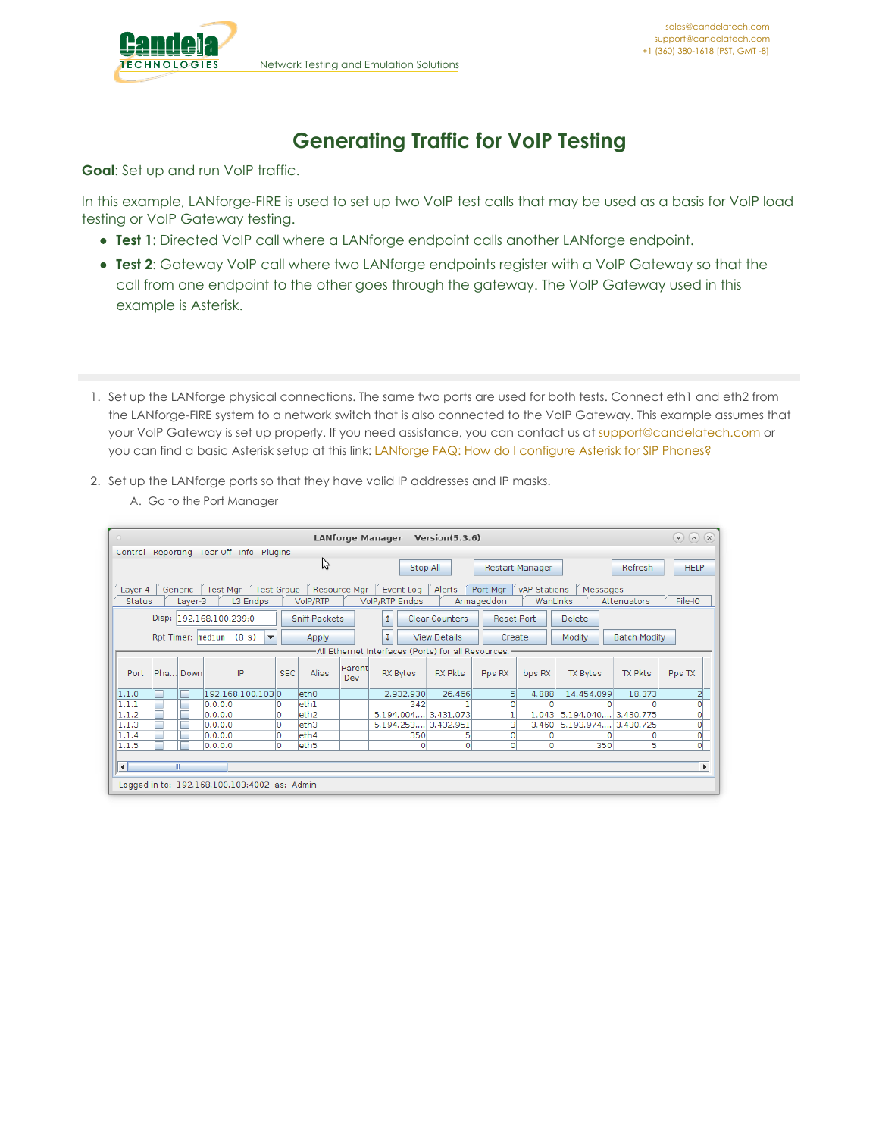

# **Generating Traffic for VoIP Testing**

**Goal**: Set up and run VoIP traffic.

In this example, LANforge-FIRE is used to set up two VoIP test calls that may be used as a basis for VoIP load testing or VoIP Gateway testing.

- **Test 1**: Directed VoIP call where a LANforge endpoint calls another LANforge endpoint.
- **Test 2**: Gateway VoIP call where two LANforge endpoints register with a VoIP Gateway so that the call from one endpoint to the other goes through the gateway. The VoIP Gateway used in this example is Asterisk.
- 1. Set up the LANforge physical connections. The same two ports are used for both tests. Connect eth1 and eth2 from the LANforge-FIRE system to a network switch that is also connected to the VoIP Gateway. This example assumes that your VoIP Gateway is set up properly. If you need assistance, you can contact us at [support@candelatech.com](mailto:support@candelatech.com) or you can find a basic Asterisk setup at this link: LANforge FAQ: How do I [configure](http://www.candelatech.com/dokuwiki/doku.php?id=lanforge-faq#how_do_i_configure_asterisk_for_sip_phones) Asterisk for SIP Phones?
- 2. Set up the LANforge ports so that they have valid IP addresses and IP masks.

| $\circ$                         |                                                                                                                                                                                    |                    |                         |                                              |         |                          | <b>LANforge Manager</b> |   |                                    | Version(5.3.6)        |                        |                          |            |                            | $(\vee)$ $(\wedge)$ $(\times)$ |
|---------------------------------|------------------------------------------------------------------------------------------------------------------------------------------------------------------------------------|--------------------|-------------------------|----------------------------------------------|---------|--------------------------|-------------------------|---|------------------------------------|-----------------------|------------------------|--------------------------|------------|----------------------------|--------------------------------|
| Control Reporting Tear-Off Info |                                                                                                                                                                                    |                    |                         |                                              | Plugins |                          |                         |   |                                    |                       |                        |                          |            |                            |                                |
|                                 |                                                                                                                                                                                    |                    |                         |                                              |         | み                        |                         |   | Stop All                           |                       |                        | Restart Manager          |            | Refresh                    | <b>HELP</b>                    |
| Layer-4<br>Status               |                                                                                                                                                                                    | Generic<br>Layer-3 | Test Mgr                | <b>Test Group</b><br>L3 Endps                |         | VolP/RTP                 | Resource Mgr            |   | Event Log<br><b>VolP/RTP Endps</b> | Alerts                | Port Mgr<br>Armageddon | vAP Stations<br>WanLinks |            | Messages<br>Attenuators    | File-IO                        |
|                                 |                                                                                                                                                                                    |                    | Disp: 192.168.100.239:0 |                                              |         | Sniff Packets            |                         | 1 |                                    | <b>Clear Counters</b> | <b>Reset Port</b>      |                          | Delete     |                            |                                |
|                                 |                                                                                                                                                                                    |                    | Rpt Timer: medium       | (8 s)<br>$\overline{\phantom{a}}$            |         | Apply                    |                         | Ţ |                                    | <b>View Details</b>   | Create                 |                          | Modify     | <b>Batch Modify</b>        |                                |
|                                 | -All Ethernet Interfaces (Ports) for all Resources.                                                                                                                                |                    |                         |                                              |         |                          |                         |   |                                    |                       |                        |                          |            |                            |                                |
| Port                            | Parent<br>IP<br>Pha Down<br><b>SEC</b><br>Alias<br><b>RX Bytes</b><br><b>RX Pkts</b><br><b>TX Pkts</b><br>Pps RX<br><b>TX Bytes</b><br>Pps TX<br>bps RX<br>Dev<br>192.168.100.1030 |                    |                         |                                              |         |                          |                         |   |                                    |                       |                        |                          |            |                            |                                |
| 1.1.0                           | г                                                                                                                                                                                  |                    |                         |                                              |         | eth <sub>0</sub>         |                         |   | 2,932,930                          | 26,466                | 5                      | 4,888                    | 14,454,099 | 18,373                     | 2                              |
| 1.1.1                           | Г                                                                                                                                                                                  |                    | 0.0.0.0                 |                                              |         | leth1                    |                         |   | 342                                |                       | $\Omega$               | 0                        |            | $\Omega$                   | 0                              |
| 1.1.2                           | $\Box$                                                                                                                                                                             |                    | 0.0.0.0                 |                                              | O       | eth <sub>2</sub>         |                         |   |                                    | 5,194,004, 3,431,073  |                        |                          |            | 1,043 5,194,040, 3,430,775 | $\overline{0}$                 |
| 1.1.3                           | Г                                                                                                                                                                                  |                    | 0.0.0.0                 |                                              | 0       | eth3                     |                         |   | 5,194,253,                         | 3,432,951             | з                      | 3,460                    | 5,193,974, | 3,430,725                  | 0                              |
| 1.1.4                           | П                                                                                                                                                                                  |                    | 0.0.0.0<br>0.0.0.0      |                                              | 0<br>O  | eth4<br>eth <sub>5</sub> |                         |   | 350                                | 5<br>$\circ$          | O<br>$\circ$           | 0<br>$\circ$             |            | $\circ$<br>Ω<br>5<br>350   | $\overline{0}$<br>ol           |
| 1.1.5                           |                                                                                                                                                                                    |                    |                         |                                              |         |                          |                         |   | 0                                  |                       |                        |                          |            |                            |                                |
| $\vert \vert$                   | Þ.                                                                                                                                                                                 |                    |                         |                                              |         |                          |                         |   |                                    |                       |                        |                          |            |                            |                                |
|                                 |                                                                                                                                                                                    |                    |                         |                                              |         |                          |                         |   |                                    |                       |                        |                          |            |                            |                                |
|                                 |                                                                                                                                                                                    |                    |                         | Logged in to: 192.168.100.103:4002 as: Admin |         |                          |                         |   |                                    |                       |                        |                          |            |                            |                                |

A. Go to the Port Manager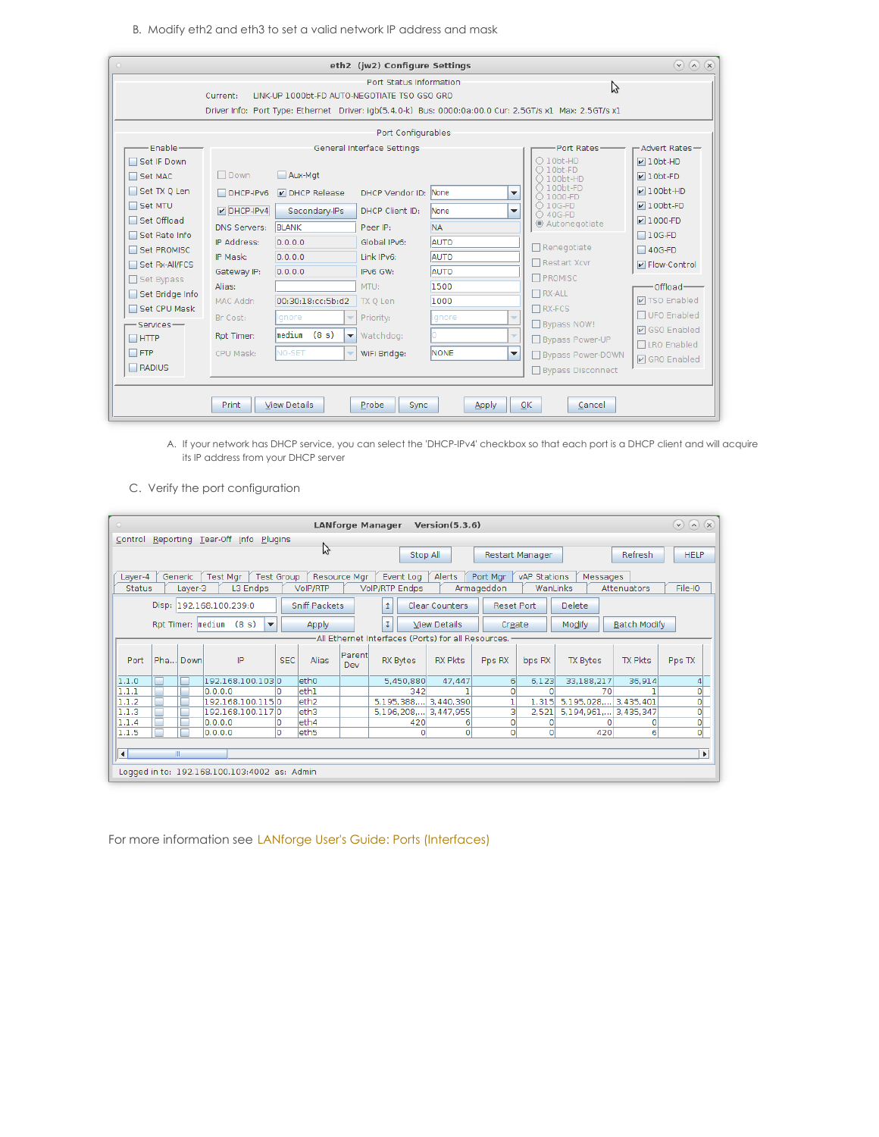B. Modify eth2 and eth3 to set a valid network IP address and mask

| $\circ$           |                     |                                              | eth2 (jw2) Configure Settings |              |                          |                                                                                                         | $(\vee)$ $(\wedge)$ $(\times)$ |
|-------------------|---------------------|----------------------------------------------|-------------------------------|--------------|--------------------------|---------------------------------------------------------------------------------------------------------|--------------------------------|
|                   | Current:            | LINK-UP 1000bt-FD AUTO-NEGOTIATE TSO GSO GRO | Port Status Information       |              |                          | ピ                                                                                                       |                                |
|                   |                     |                                              |                               |              |                          | Driver Info: Port Type: Ethernet Driver: igb(5.4.0-k) Bus: 0000:0a:00.0 Cur: 2.5GT/s x1 Max: 2.5GT/s x1 |                                |
|                   |                     |                                              | Port Configurables            |              |                          |                                                                                                         |                                |
| Enable-           |                     |                                              | General Interface Settings    |              |                          | Port Rates-                                                                                             | -Advert Rates-                 |
| Set IF Down       |                     |                                              |                               |              |                          | $O$ 10bt-HD                                                                                             | $\nu$ 10bt-HD                  |
| Set MAC           | $\Box$ Down         | Aux-Mat                                      |                               |              |                          | $\bigcirc$ 10bt-FD<br>$\bigcap$ 100bt-HD                                                                | $\nu$ 10bt-FD                  |
| Set TX Q Len      | $DHCP-IPv6$         | DHCP Release                                 | DHCP Vendor ID:               | <b>None</b>  | $\blacktriangledown$     | $\bigcirc$ 100bt-FD<br>○ 1000-FD                                                                        | $V100bt-HD$                    |
| Set MTU           | $V$ DHCP-IPv4       | Secondary-IPs                                | DHCP Client ID:               | None         | $\overline{\phantom{a}}$ | $\bigcirc$ 10G-FD<br>○ 40G-FD                                                                           | $\nu$ 100bt-FD                 |
| □ Set Offload     | <b>DNS Servers:</b> | <b>BLANK</b>                                 | Peer IP:                      | <b>NA</b>    |                          | C Autonegotiate                                                                                         | $V1000-FD$                     |
| Set Rate Info     | IP Address:         | 0.0.0.0                                      | Global IPv6:                  | <b>AUTO</b>  |                          |                                                                                                         | $106-FD$                       |
| Set PROMISC       | IP Mask:            | 0.0.0.0                                      | Link IPv6:                    | AUTO         |                          | $\Box$ Renegotiate                                                                                      | $\Box$ 40G-FD                  |
| Set Rx-All/FCS    | Gateway IP:         | 0.0.0.0                                      | IPv6 GW:                      | <b>AUTO</b>  |                          | $\Box$ Restart Xcvr                                                                                     | P Flow-Control                 |
| $\Box$ Set Bypass | Alias:              |                                              | MTU:                          | 1500         |                          | PROMISC                                                                                                 | Offload-                       |
| Set Bridge Info   | MAC Addr:           | 00:30:18:cc:5b:d2                            | TX Q Len                      | 1000         |                          | $\Box$ RX-ALL                                                                                           | <b>☑ TSO Enabled</b>           |
| Set CPU Mask      | Br Cost:            | lgnore<br>$\overline{\phantom{a}}$           | Priority:                     | Ignore       | $\overline{\phantom{a}}$ | $\Box$ RX-FCS                                                                                           | □ UFO Enabled                  |
| $-$ Services $-$  |                     | (8s)<br>Imedium<br>$\overline{\mathbf{v}}$   | Watchdog:                     |              | $\overline{\phantom{a}}$ | Bypass NOW!                                                                                             | <b>☑</b> GSO Enabled           |
| $\Box$ HTTP       | Rpt Timer:          |                                              |                               |              |                          | Bypass Power-UP                                                                                         | □LRO Enabled                   |
| $\Box$ FTP        | CPU Mask:           | NO-SET<br>$\overline{\phantom{a}}$           | WiFi Bridge:                  | <b>NONE</b>  | $\overline{\phantom{a}}$ | Bypass Power-DOWN                                                                                       | <b>Ø</b> GRO Enabled           |
| $\Box$ RADIUS     |                     |                                              |                               |              |                          | □ Bypass Disconnect                                                                                     |                                |
|                   |                     |                                              |                               |              |                          |                                                                                                         |                                |
|                   | <b>Print</b>        | <b>View Details</b>                          | Probe<br>Sync                 | <b>Apply</b> |                          | OK<br>Cancel                                                                                            |                                |
|                   |                     |                                              |                               |              |                          |                                                                                                         |                                |

- A. If your network has DHCP service, you can select the 'DHCP-IPv4' checkbox so that each port is a DHCP client and will acquire its IP address from your DHCP server
- C. Verify the port configuration

| $\circ$        |                                                                                                                                                         |         |                                 |                                              |         |                   |              | <b>LANforge Manager</b> | Version(5.3.6)        |                   |                     |                      |                | $(9)$ (a) $(8)$           |
|----------------|---------------------------------------------------------------------------------------------------------------------------------------------------------|---------|---------------------------------|----------------------------------------------|---------|-------------------|--------------|-------------------------|-----------------------|-------------------|---------------------|----------------------|----------------|---------------------------|
|                |                                                                                                                                                         |         | Control Reporting Tear-Off Info |                                              | Plugins |                   |              |                         |                       |                   |                     |                      |                |                           |
|                |                                                                                                                                                         |         |                                 |                                              |         | グ                 |              | Stop All                |                       |                   | Restart Manager     |                      | <b>Refresh</b> | <b>HELP</b>               |
| Layer-4        |                                                                                                                                                         | Generic | Test Mgr                        | Test Group                                   |         |                   | Resource Mgr | Event Log               | Alerts                | Port Mgr          | vAP Stations        | Messages             |                |                           |
| <b>Status</b>  |                                                                                                                                                         | Layer-3 |                                 | L3 Endps                                     |         | VoIP/RTP          |              | <b>VolP/RTP Endps</b>   |                       | Armageddon        | WanLinks            |                      | Attenuators    | File-IO                   |
|                |                                                                                                                                                         |         | Disp: 192.168.100.239:0         |                                              |         | Sniff Packets     |              | 1                       | <b>Clear Counters</b> | <b>Reset Port</b> |                     | <b>Delete</b>        |                |                           |
|                | <b>Batch Modify</b><br>τ<br>Modify<br>Rpt Timer:   medium (8 s)<br><b>View Details</b><br>$\overline{\phantom{a}}$<br>Apply<br>Create                   |         |                                 |                                              |         |                   |              |                         |                       |                   |                     |                      |                |                           |
|                | -All Ethernet Interfaces (Ports) for all Resources.                                                                                                     |         |                                 |                                              |         |                   |              |                         |                       |                   |                     |                      |                |                           |
| Port           | Parent<br>Pha Down<br>IP<br><b>SEC</b><br><b>Alias</b><br>RX Bytes<br><b>RX Pkts</b><br><b>TX Bytes</b><br>TX Pkts<br>Pps RX<br>Pps TX<br>bps RX<br>Dev |         |                                 |                                              |         |                   |              |                         |                       |                   |                     |                      |                |                           |
| 1.1.0          | Г                                                                                                                                                       |         |                                 | 192.168.100.1030                             |         | eth <sub>0</sub>  |              | 5,450,880               | 47,447                | 6                 | 6,123               | 33,188,217           | 36,914         | 4                         |
| 1.1.1          |                                                                                                                                                         |         | 0.0.0.0                         |                                              |         | eth1              |              | 342                     |                       | O                 | O                   | 70                   |                | $\overline{0}$            |
| 1.1.2          |                                                                                                                                                         |         |                                 | 192.168.100.1150                             |         | leth <sub>2</sub> |              | 5,195,388,              | 3,440,390             |                   | 1,315               | 5,195,028, 3,435,401 |                | $\mathsf{o}$              |
| 1.1.3          |                                                                                                                                                         |         |                                 | 192.168.100.1170                             |         | leth3             |              | 5,196,208, 3,447,955    |                       | 3                 | 2.521               | 5,194,961, 3,435,347 |                | $\overline{\mathbf{0}}$   |
| 1.1.4<br>1.1.5 |                                                                                                                                                         |         | 0.0.0.0                         |                                              | 0<br>lo | leth4             |              | 420                     | 6                     | $\circ$           | $\circ$<br>$\Omega$ |                      |                | $\circ$<br>$\overline{0}$ |
|                | 420<br>leth <sub>5</sub><br>$\overline{0}$<br>$\circ$<br> 0,0,0,0 <br>$\overline{0}$<br>6                                                               |         |                                 |                                              |         |                   |              |                         |                       |                   |                     |                      |                |                           |
| $\vert \vert$  | $\blacktriangleright$                                                                                                                                   |         |                                 |                                              |         |                   |              |                         |                       |                   |                     |                      |                |                           |
|                |                                                                                                                                                         |         |                                 |                                              |         |                   |              |                         |                       |                   |                     |                      |                |                           |
|                |                                                                                                                                                         |         |                                 | Logged in to: 192.168.100.103:4002 as: Admin |         |                   |              |                         |                       |                   |                     |                      |                |                           |

For more information see LANforge User's Guide: Ports [\(Interfaces\)](http://www.candelatech.com/lfgui_ug.php#port)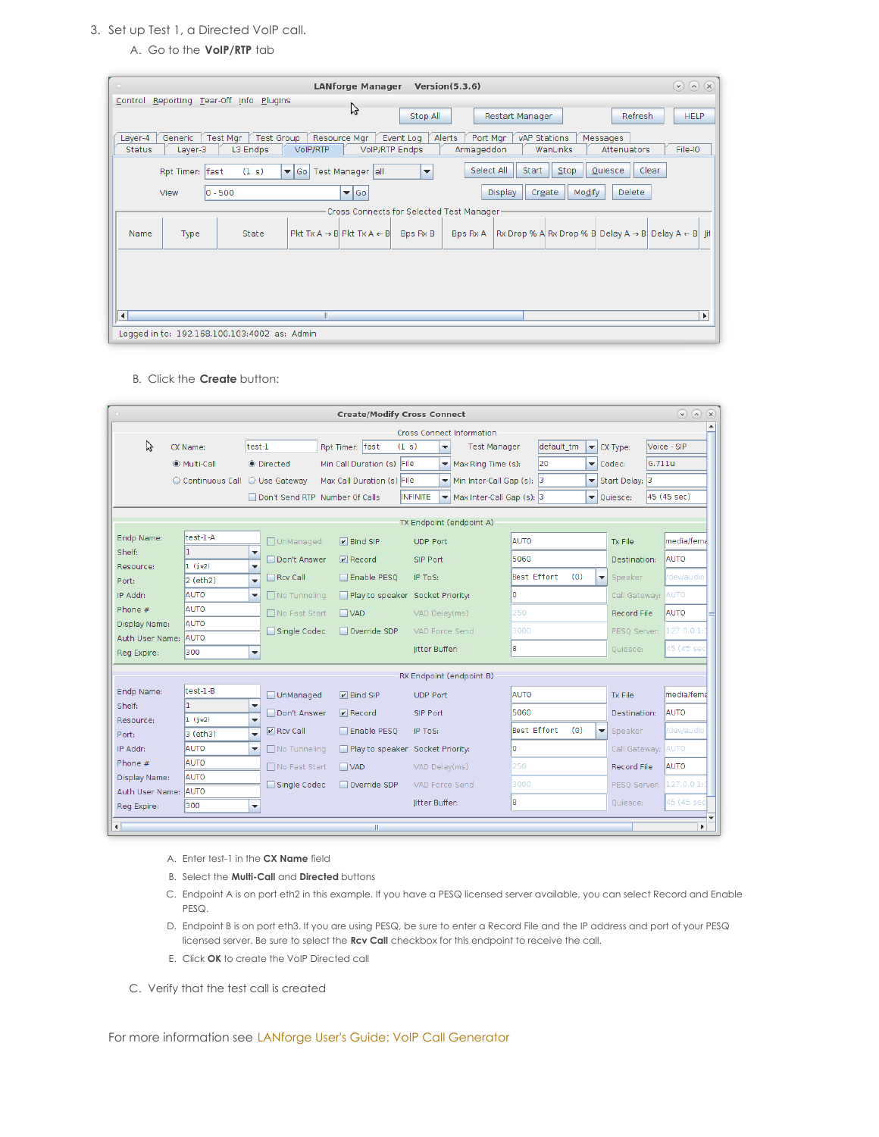### 3. Set up Test 1, a Directed VoIP call.

## A. Go to the **VoIP/RTP** tab

| $\circ$<br><b>LANforge Manager</b><br>Version(5.3.6)                                                                                                                                                                                                            | $\odot$ $\odot$<br>$\mathbf{x}$ |
|-----------------------------------------------------------------------------------------------------------------------------------------------------------------------------------------------------------------------------------------------------------------|---------------------------------|
| Control Reporting Tear-Off Info Plugins                                                                                                                                                                                                                         |                                 |
| ら<br><b>Refresh</b><br>Stop All<br>Restart Manager                                                                                                                                                                                                              | <b>HELP</b>                     |
| Test Mgr<br><b>Test Group</b><br>Resource Mgr<br>Generic<br>Alerts<br>Port Mgr<br>vAP Stations<br>Layer-4<br>Event Log<br>Messages<br><b>VolP/RTP Endps</b><br>WanLinks<br><b>Status</b><br>L3 Endps<br><b>VoIP/RTP</b><br>Attenuators<br>Layer-3<br>Armageddon | File-IO                         |
|                                                                                                                                                                                                                                                                 |                                 |
| Select All<br>Start<br>Stop<br>Clear<br>Quiesce<br>(1 s)<br>Rpt Timer: fast<br>Test Manager all<br>$\blacktriangledown$ Go<br>$\blacktriangledown$                                                                                                              |                                 |
| Modify<br>Delete<br>Create<br>$\blacktriangledown$ Go<br>$ 0 - 500$<br><b>Display</b><br>View                                                                                                                                                                   |                                 |
| Cross Connects for Selected Test Manager-                                                                                                                                                                                                                       |                                 |
| Rx Drop % A Rx Drop % B Delay A $\rightarrow$ B Delay A $\leftarrow$ B ii<br>$Pkt Tx A \rightarrow B$ Pkt $Tx A \leftarrow B$<br>Bps Rx B<br>Bps Rx A<br>State<br>Name<br>Type                                                                                  |                                 |
|                                                                                                                                                                                                                                                                 |                                 |
|                                                                                                                                                                                                                                                                 |                                 |
|                                                                                                                                                                                                                                                                 |                                 |
| $\left  \cdot \right $<br>Ш                                                                                                                                                                                                                                     | $\blacktriangleright$           |
| Logged in to: 192.168.100.103:4002 as: Admin                                                                                                                                                                                                                    |                                 |

B. Click the **Create** button:

|                      | $\odot$<br>$\left( \mathbf{v}\right)$<br><b>Create/Modify Cross Connect</b><br>(x)<br>Cross Connect Information        |                                                     |                                           |  |                                                                                                                                               |    |                          |                          |  |                          |                     |                           |             |            |  |                          |                                |        |                       |  |
|----------------------|------------------------------------------------------------------------------------------------------------------------|-----------------------------------------------------|-------------------------------------------|--|-----------------------------------------------------------------------------------------------------------------------------------------------|----|--------------------------|--------------------------|--|--------------------------|---------------------|---------------------------|-------------|------------|--|--------------------------|--------------------------------|--------|-----------------------|--|
|                      |                                                                                                                        |                                                     |                                           |  |                                                                                                                                               |    |                          |                          |  |                          |                     |                           |             |            |  |                          |                                |        |                       |  |
| ド                    | CX Name:                                                                                                               | test-1                                              |                                           |  | Rpt Timer: fast                                                                                                                               |    | (1 s)                    | $\blacktriangledown$     |  |                          | <b>Test Manager</b> |                           |             | default tm |  |                          | $\blacktriangleright$ CX Type: |        | Voice - SIP           |  |
|                      | Multi-Call                                                                                                             |                                                     | <b>O</b> Directed                         |  | Min Call Duration (s) File                                                                                                                    |    |                          | $\blacktriangledown$     |  |                          | Max Ring Time (s):  |                           | 20          |            |  |                          | $\blacktriangleright$ Codec:   | G.711u |                       |  |
|                      | ○ Continuous Call ○ Use Gateway                                                                                        |                                                     |                                           |  | Max Call Duration (s) File                                                                                                                    |    |                          | $\overline{\phantom{a}}$ |  |                          |                     | Min Inter-Call Gap (s): 3 |             |            |  |                          | ▼ Start Delay: 3               |        |                       |  |
|                      |                                                                                                                        |                                                     | Don't Send RTP Number Of Calls            |  |                                                                                                                                               |    | INFINITE                 | $\blacktriangledown$     |  |                          |                     | Max Inter-Call Gap (s): 3 |             |            |  |                          | ▼ Ouiesce:                     |        | 45 (45 sec)           |  |
|                      |                                                                                                                        |                                                     |                                           |  |                                                                                                                                               |    |                          |                          |  |                          |                     |                           |             |            |  |                          |                                |        |                       |  |
|                      |                                                                                                                        |                                                     |                                           |  |                                                                                                                                               |    | TX Endpoint (endpoint A) |                          |  |                          |                     |                           |             |            |  |                          |                                |        |                       |  |
| Endp Name:           | test-1-A                                                                                                               |                                                     | □ UnManaged                               |  | $\nu$ Bind SIP                                                                                                                                |    | <b>UDP Port</b>          |                          |  |                          |                     | <b>AUTO</b>               |             |            |  |                          | <b>Tx File</b>                 |        | media/fema            |  |
| Shelf:               | ı.                                                                                                                     | ▼                                                   | Don't Answer                              |  | $V$ Record                                                                                                                                    |    | SIP Port                 |                          |  |                          |                     | 5060                      |             |            |  |                          | Destination:                   |        | <b>AUTO</b>           |  |
| Resource:            | 1 (jw2)<br>2 (eth2)                                                                                                    | $\overline{\mathbf{v}}$<br>$\overline{\phantom{0}}$ | Enable PESO<br>$\Box$ Rcv Call<br>IP ToS: |  |                                                                                                                                               |    | Best Effort<br>(0)       |                          |  | $\overline{\phantom{a}}$ | Speaker             |                           | /dev/audio  |            |  |                          |                                |        |                       |  |
| Port:                | lo.<br>Call Gateway: AUTO<br><b>AUTO</b><br>IP Addr:<br>$\Box$ No Tunneling<br>Play to speaker Socket Priority:<br>▼   |                                                     |                                           |  |                                                                                                                                               |    |                          |                          |  |                          |                     |                           |             |            |  |                          |                                |        |                       |  |
| Phone #              | <b>AUTO</b>                                                                                                            |                                                     | □ No Fast Start                           |  | $\Box$ VAD                                                                                                                                    |    |                          |                          |  |                          |                     | 250                       |             |            |  |                          | <b>Record File</b>             |        | <b>AUTO</b>           |  |
| Display Name:        | <b>AUTO</b>                                                                                                            |                                                     |                                           |  |                                                                                                                                               |    |                          | VAD Delay(ms)            |  |                          |                     |                           |             |            |  |                          |                                |        |                       |  |
|                      | 127.0.0.1:<br>3000<br>Single Codec<br>Override SDP<br>PESO Server:<br>VAD Force Send<br><b>AUTO</b><br>Auth User Name: |                                                     |                                           |  |                                                                                                                                               |    |                          |                          |  |                          |                     |                           |             |            |  |                          |                                |        |                       |  |
| Reg Expire:          | 300                                                                                                                    | ▼                                                   |                                           |  |                                                                                                                                               |    |                          | litter Buffer:           |  |                          |                     | l8                        |             |            |  |                          | Ouiesce:                       |        | 45 (45 sec            |  |
|                      |                                                                                                                        |                                                     |                                           |  |                                                                                                                                               |    | RX Endpoint (endpoint B) |                          |  |                          |                     |                           |             |            |  |                          |                                |        |                       |  |
| Endp Name:           | $test-1-B$                                                                                                             |                                                     |                                           |  |                                                                                                                                               |    |                          |                          |  |                          |                     |                           |             |            |  |                          |                                |        |                       |  |
| Shelf:               | ı.                                                                                                                     | $\overline{\phantom{a}}$                            | UnManaged                                 |  | $\n  P\n  Bind SIP$                                                                                                                           |    | <b>UDP Port</b>          |                          |  |                          |                     | <b>AUTO</b>               |             |            |  |                          | <b>Tx File</b>                 |        | media/fema            |  |
| Resource:            | 1(jw2)                                                                                                                 | $\overline{\mathbf{v}}$                             | Don't Answer                              |  | $\n  P\n  P\n  P\n  P\n  P\n  P\n  P\n  P\n  P\n  P\n  P\n  P\n  P\n  P\n  P\n  P\n  P\n  P\n  P\n  P\n  P\n  P\n  P\n  P\n  P\n  P\n  P\n  $ |    | SIP Port                 |                          |  |                          |                     | 5060                      |             |            |  |                          | Destination:                   |        | <b>AUTO</b>           |  |
| Port:                | 3 (eth3)                                                                                                               | $\overline{\phantom{0}}$                            | $\triangleright$ Rcv Call                 |  | Enable PESO                                                                                                                                   |    | IP ToS:                  |                          |  |                          |                     |                           | Best Effort | (0)        |  | $\overline{\phantom{a}}$ | Speaker                        |        | /dev/audio            |  |
| IP Addr:             | <b>AUTO</b>                                                                                                            | $\overline{\phantom{a}}$                            | □ No Tunneling                            |  | Play to speaker Socket Priority:                                                                                                              |    |                          |                          |  |                          |                     | I٥                        |             |            |  |                          | Call Gateway: AUTO             |        |                       |  |
| Phone #              | <b>AUTO</b>                                                                                                            |                                                     | □ No Fast Start                           |  | $\Box$ VAD                                                                                                                                    |    |                          | VAD Delay(ms)            |  |                          |                     | 250                       |             |            |  |                          | <b>Record File</b>             |        | <b>AUTO</b>           |  |
| Display Name:        | <b>AUTO</b>                                                                                                            |                                                     | Single Codec                              |  | Override SDP                                                                                                                                  |    |                          | VAD Force Send           |  |                          |                     | 3000                      |             |            |  |                          | PESO Server: 127.0.0.1:        |        |                       |  |
| Auth User Name: AUTO |                                                                                                                        |                                                     |                                           |  |                                                                                                                                               |    |                          | litter Buffer:           |  |                          |                     | 8                         |             |            |  |                          | Quiesce:                       |        | 45 (45 sec            |  |
| Reg Expire:          | 300                                                                                                                    | $\overline{\phantom{a}}$                            |                                           |  |                                                                                                                                               |    |                          |                          |  |                          |                     |                           |             |            |  |                          |                                |        |                       |  |
| $\blacktriangleleft$ |                                                                                                                        |                                                     |                                           |  |                                                                                                                                               | M. |                          |                          |  |                          |                     |                           |             |            |  |                          |                                |        | $\blacktriangleright$ |  |

- A. Enter test-1 in the **CX Name** field
- B. Select the **Multi-Call** and **Directed** buttons
- C. Endpoint A is on port eth2 in this example. If you have a PESQ licensed server available, you can select Record and Enable PESQ.
- D. Endpoint B is on port eth3. If you are using PESQ, be sure to enter a Record File and the IP address and port of your PESQ licensed server. Be sure to select the **Rcv Call** checkbox for this endpoint to receive the call.
- E. Click **OK** to create the VoIP Directed call
- C. Verify that the test call is created

For more information see LANforge User's Guide: VoIP Call [Generator](http://www.candelatech.com/lfgui_ug.php#vcx)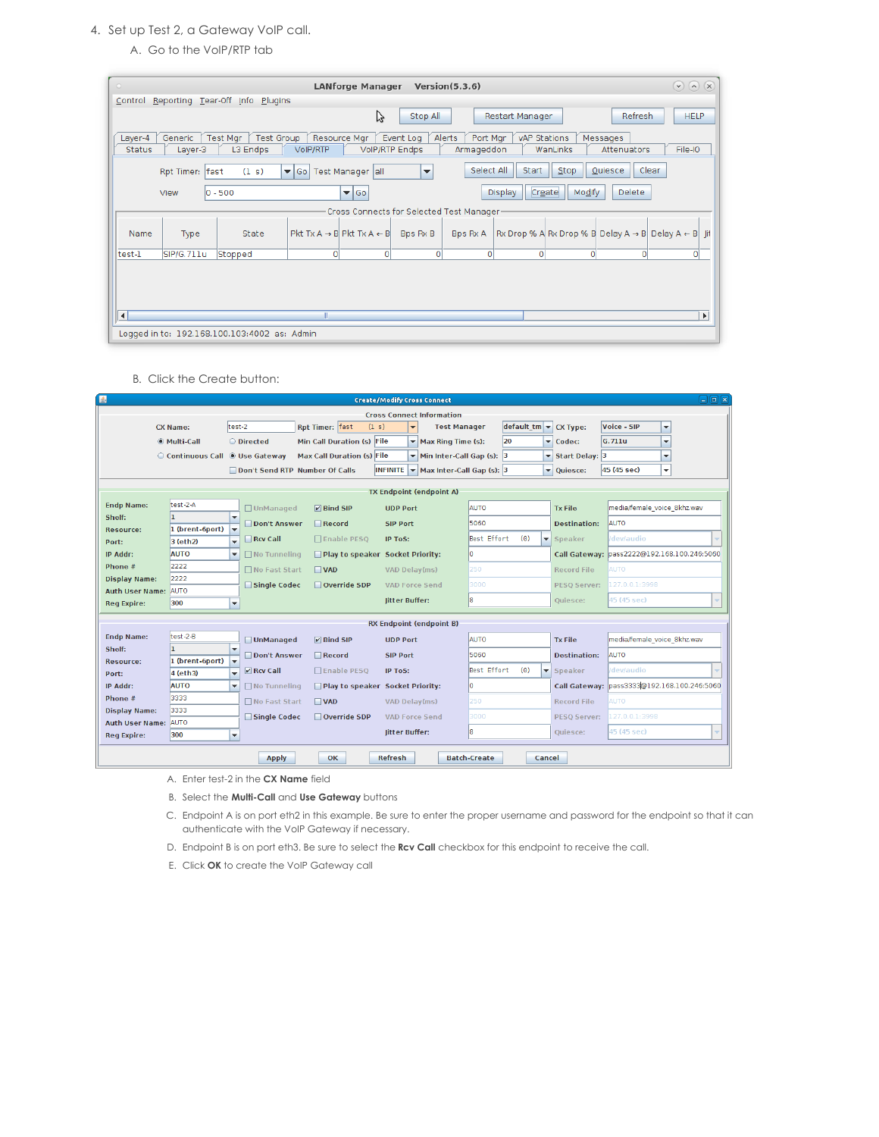## 4. Set up Test 2, a Gateway VoIP call.

A. Go to the VoIP/RTP tab

| $\circ$                  | $\circledcirc$<br>(x)<br><b>LANforge Manager</b><br>Version(5.3.6)<br>Reporting Tear-Off Info |                                              |                                                  |                         |                                    |                                  |                 |                  |                         |                                                                                             |  |  |  |
|--------------------------|-----------------------------------------------------------------------------------------------|----------------------------------------------|--------------------------------------------------|-------------------------|------------------------------------|----------------------------------|-----------------|------------------|-------------------------|---------------------------------------------------------------------------------------------|--|--|--|
| Control                  |                                                                                               | Plugins                                      |                                                  |                         |                                    |                                  |                 |                  |                         |                                                                                             |  |  |  |
|                          |                                                                                               |                                              |                                                  | Ų                       | Stop All                           |                                  | Restart Manager |                  | <b>Refresh</b>          | <b>HELP</b>                                                                                 |  |  |  |
| Layer-4<br><b>Status</b> | Generic<br>Layer-3                                                                            | Test Group<br>Test Mgr<br>L3 Endps           | Resource Mar<br>VoIP/RTP                         |                         | Event Log<br><b>VolP/RTP Endps</b> | Alerts<br>Port Mar<br>Armageddon | vAP Stations    | WanLinks         | Messages<br>Attenuators | File-IO                                                                                     |  |  |  |
|                          | Rpt Timer: fast                                                                               | (1 s)                                        | ▼ Go   Test Manager   all                        |                         | $\overline{\phantom{a}}$           | Select All                       | Start           | Stop             | Quiesce                 | Clear                                                                                       |  |  |  |
|                          | View                                                                                          | $ 0 - 500 $                                  |                                                  | $\blacktriangledown$ Go |                                    |                                  | <b>Display</b>  | Create<br>Modify | <b>Delete</b>           |                                                                                             |  |  |  |
|                          | Cross Connects for Selected Test Manager-                                                     |                                              |                                                  |                         |                                    |                                  |                 |                  |                         |                                                                                             |  |  |  |
| Name                     | Type                                                                                          | State                                        | $Pkt Tx A \rightarrow B  Pkt Tx A \leftarrow B $ |                         | Bps Rx B                           | Bps Rx A                         |                 |                  |                         | $ Rx \text{ Drop } \%$ A Rx Drop % B Delay A $\rightarrow$ B Delay A $\leftarrow$ B<br>-lit |  |  |  |
| test-1                   | SIP/G.711u                                                                                    | Stopped                                      | $\circ$                                          | $\overline{0}$          | $\circ$                            | $\overline{0}$                   | $\circ$         | $\circ$          | $\circ$                 | $\circ$                                                                                     |  |  |  |
|                          |                                                                                               |                                              |                                                  |                         |                                    |                                  |                 |                  |                         |                                                                                             |  |  |  |
| $\left  \cdot \right $   |                                                                                               |                                              |                                                  |                         |                                    |                                  |                 |                  |                         | $\mathbf{F}$                                                                                |  |  |  |
|                          |                                                                                               | Logged in to: 192.168.100.103:4002 as: Admin |                                                  |                         |                                    |                                  |                 |                  |                         |                                                                                             |  |  |  |

B. Click the Create button:

| $\triangle$          | $\Box$ e $\kappa$<br><b>Create/Modify Cross Connect</b> |                                                                  |                                  |                                                                      |                                                                                 |                              |                                             |  |  |  |  |  |  |
|----------------------|---------------------------------------------------------|------------------------------------------------------------------|----------------------------------|----------------------------------------------------------------------|---------------------------------------------------------------------------------|------------------------------|---------------------------------------------|--|--|--|--|--|--|
|                      |                                                         |                                                                  |                                  | <b>Cross Connect Information</b>                                     |                                                                                 |                              |                                             |  |  |  |  |  |  |
|                      | <b>CX Name:</b>                                         | test-2                                                           | Rpt Timer: fast<br>(1 s)         | <b>Test Manager</b><br>$\overline{\phantom{a}}$                      | $\left \text{default} \cdot \text{tm}\right  \leq \left \text{CX Type:}\right $ |                              | Voice - SIP<br>$\blacktriangledown$         |  |  |  |  |  |  |
|                      | Multi-Call                                              | O Directed                                                       | Min Call Duration (s) File       | $\blacktriangleright$ Max Ring Time (s):                             | 20                                                                              | $\blacktriangleright$ Codec: | G.711u<br>$\overline{\phantom{0}}$          |  |  |  |  |  |  |
|                      | Continuous Call @ Use Gateway                           |                                                                  | Max Call Duration (s) File       | Min Inter-Call Gap (s): 3<br>$\checkmark$                            |                                                                                 | Start Delay: 3               | $\overline{\mathbf{v}}$                     |  |  |  |  |  |  |
|                      |                                                         | Don't Send RTP Number Of Calls                                   |                                  | <b>INFINITE</b><br>$\blacktriangledown$<br>Max Inter-Call Gap (s): 3 |                                                                                 | v Quiesce:                   | 45 (45 sec)<br>٠                            |  |  |  |  |  |  |
|                      |                                                         |                                                                  |                                  |                                                                      |                                                                                 |                              |                                             |  |  |  |  |  |  |
|                      |                                                         |                                                                  |                                  | <b>TX Endpoint (endpoint A)</b>                                      |                                                                                 |                              |                                             |  |  |  |  |  |  |
| <b>Endp Name:</b>    | test-2-A                                                | □ UnManaged                                                      | $\nabla$ Bind SIP                | <b>UDP Port</b>                                                      | <b>AUTO</b>                                                                     | <b>Tx File</b>               | media/female voice 8khz.wav                 |  |  |  |  |  |  |
| Shelf:               |                                                         | ٠<br>Don't Answer                                                | $\blacksquare$ Record            | <b>SIP Port</b>                                                      | 5060                                                                            | <b>Destination:</b>          | <b>AUTO</b>                                 |  |  |  |  |  |  |
| Resource:            | 1 (brent-6port)                                         | $\overline{\phantom{0}}$<br>Rcv Call<br>$\overline{\phantom{0}}$ | □ Enable PESQ                    | <b>IP ToS:</b>                                                       | Best Effort<br>(0)                                                              | ▼ Speaker                    | dev/audio                                   |  |  |  |  |  |  |
| Port:<br>IP Addr:    | 3 (eth2)<br><b>AUTO</b>                                 | $\Box$ No Tunneling<br>۰                                         | Play to speaker Socket Priority: |                                                                      | lo.                                                                             |                              | Call Gateway: pass2222@192.168.100.246:5060 |  |  |  |  |  |  |
| Phone #              | 2222                                                    |                                                                  |                                  |                                                                      |                                                                                 |                              |                                             |  |  |  |  |  |  |
| <b>Display Name:</b> | 2222                                                    | □ No Fast Start                                                  | $\Box$ VAD                       | VAD Delay(ms)                                                        | 250                                                                             | <b>Record File</b>           | <b>AUTO</b>                                 |  |  |  |  |  |  |
| Auth User Name: AUTO |                                                         | Single Codec                                                     | Override SDP                     | <b>VAD Force Send</b>                                                | 3000                                                                            | <b>PESO Server:</b>          | 127.0.0.1:3998                              |  |  |  |  |  |  |
| <b>Reg Expire:</b>   | 300                                                     | $\overline{\phantom{a}}$                                         |                                  | litter Buffer:                                                       | l8                                                                              | Ouiesce:                     | 45 (45 sec)                                 |  |  |  |  |  |  |
|                      |                                                         |                                                                  |                                  |                                                                      |                                                                                 |                              |                                             |  |  |  |  |  |  |
|                      |                                                         |                                                                  |                                  | <b>RX Endpoint (endpoint B)</b>                                      |                                                                                 |                              |                                             |  |  |  |  |  |  |
| <b>Endp Name:</b>    | $test-2-B$<br>n.                                        | <b>UnManaged</b><br>$\overline{\phantom{a}}$                     | $\nu$ Bind SIP                   | <b>UDP Port</b>                                                      | <b>AUTO</b>                                                                     | <b>Tx File</b>               | media/female voice 8khz.wav                 |  |  |  |  |  |  |
| Shelf:<br>Resource:  | 1 (brent-6port)                                         | Don't Answer<br>lv                                               | $\Box$ Record                    | <b>SIP Port</b>                                                      | 5060                                                                            | <b>Destination:</b>          | <b>AUTO</b>                                 |  |  |  |  |  |  |
| Port:                | 4 (eth3)                                                | $V$ Rcv Call<br>$\overline{\phantom{a}}$                         | □ Enable PESO                    | IP ToS:                                                              | Best Effort<br>(0)<br>$\overline{\phantom{a}}$                                  | Speaker                      | /dev/audio                                  |  |  |  |  |  |  |
| IP Addr:             | <b>AUTO</b>                                             | ÷<br>□ No Tunneling                                              | Play to speaker Socket Priority: |                                                                      | lo                                                                              | <b>Call Gateway:</b>         | pass3333@192.168.100.246:5060               |  |  |  |  |  |  |
| Phone #              | 3333                                                    | □ No Fast Start                                                  | $\Box$ VAD                       | VAD Delay(ms)                                                        | 250                                                                             | <b>Record File</b>           | <b>AUTO</b>                                 |  |  |  |  |  |  |
| <b>Display Name:</b> | 3333                                                    |                                                                  |                                  |                                                                      | 3000                                                                            |                              |                                             |  |  |  |  |  |  |
| Auth User Name: AUTO |                                                         | Single Codec                                                     | Override SDP                     | <b>VAD Force Send</b>                                                |                                                                                 | <b>PESO Server:</b>          | 127.0.0.1:3998                              |  |  |  |  |  |  |
| <b>Req Expire:</b>   | 300                                                     | $\overline{\phantom{a}}$                                         |                                  | litter Buffer:                                                       | l8                                                                              | Quiesce:                     | 45 (45 sec)                                 |  |  |  |  |  |  |
|                      |                                                         |                                                                  |                                  |                                                                      |                                                                                 |                              |                                             |  |  |  |  |  |  |
|                      |                                                         | <b>Apply</b>                                                     | <b>OK</b>                        | <b>Refresh</b>                                                       | <b>Batch-Create</b><br>Cancel                                                   |                              |                                             |  |  |  |  |  |  |

- A. Enter test-2 in the **CX Name** field
- B. Select the **Multi-Call** and **Use Gateway** buttons
- C. Endpoint A is on port eth2 in this example. Be sure to enter the proper username and password for the endpoint so that it can authenticate with the VoIP Gateway if necessary.
- D. Endpoint B is on port eth3. Be sure to select the **Rcv Call** checkbox for this endpoint to receive the call.
- E. Click **OK** to create the VoIP Gateway call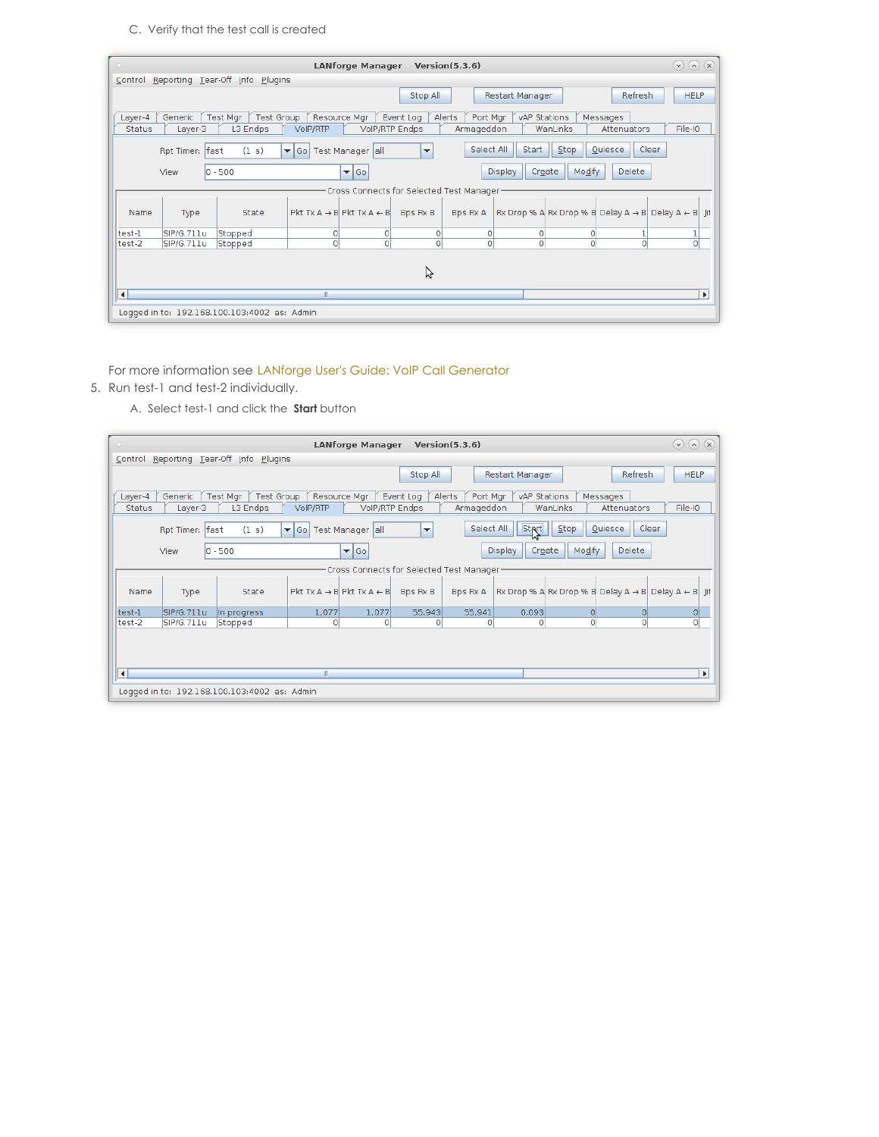# C. Verify that the test call is created

| $\circ$              |                         |                                              | <b>LANforge Manager</b>                          |                                           | Version(5.3.6)     |                          |          |                                                                        | $\odot$ $\odot$<br>$(\mathsf{x})$ |  |  |  |
|----------------------|-------------------------|----------------------------------------------|--------------------------------------------------|-------------------------------------------|--------------------|--------------------------|----------|------------------------------------------------------------------------|-----------------------------------|--|--|--|
| Control              | Reporting Tear-Off Info | Plugins                                      |                                                  |                                           |                    |                          |          |                                                                        |                                   |  |  |  |
|                      |                         |                                              |                                                  | Stop All                                  |                    | Restart Manager          |          | <b>Refresh</b>                                                         | <b>HELP</b>                       |  |  |  |
| Layer-4              | Generic                 | Test Mgr   Test Group                        | Resource Mgr                                     | Event Log                                 | Alerts<br>Port Mgr | vAP Stations             |          | Messages                                                               |                                   |  |  |  |
| <b>Status</b>        | Layer-3                 | L3 Endps                                     | VoIP/RTP                                         | <b>VolP/RTP Endps</b>                     | Armageddon         |                          | WanLinks | Attenuators                                                            | File-IO                           |  |  |  |
|                      | Rpt Timer: fast         | (1 s)                                        | ▼ Go   Test Manager   all                        | ▼                                         | Select All         | Start                    | Stop     | Quiesce                                                                | Clear                             |  |  |  |
|                      | View                    | $ 0 - 500$                                   | $\blacktriangledown$ Go                          |                                           |                    | Create<br><b>Display</b> | Modify   | Delete                                                                 |                                   |  |  |  |
|                      |                         |                                              |                                                  | Cross Connects for Selected Test Manager- |                    |                          |          |                                                                        |                                   |  |  |  |
| Name                 | Type                    | State                                        | Pkt Tx $A \rightarrow B$ Pkt Tx $A \leftarrow B$ | Bps Rx B                                  | Bps Rx A           |                          |          | Rx Drop % A Rx Drop % B Delay A $\rightarrow$ B Delay A $\leftarrow$ B | -lit                              |  |  |  |
| test-1               | SIP/G.711u              | Stopped                                      | 0                                                | $\overline{0}$<br>0                       | $\Omega$           | $\Omega$                 | $\Omega$ |                                                                        |                                   |  |  |  |
| test-2               | SIP/G.711u              | Stopped                                      | $\Omega$                                         | $\circ$<br>$\circ$                        | $\Omega$           | $\Omega$                 | $\circ$  | $\Omega$                                                               | O                                 |  |  |  |
| グ                    |                         |                                              |                                                  |                                           |                    |                          |          |                                                                        |                                   |  |  |  |
| $\blacktriangleleft$ |                         |                                              | П                                                |                                           |                    |                          |          |                                                                        | $\blacktriangleright$             |  |  |  |
|                      |                         | Logged in to: 192.168.100.103:4002 as: Admin |                                                  |                                           |                    |                          |          |                                                                        |                                   |  |  |  |

For more information see LANforge User's Guide: VoIP Call [Generator](http://www.candelatech.com/lfgui_ug.php#vcx)

5. Run test-1 and test-2 individually.

A. Select test-1 and click the **Start** button

| $\circ$                                            |                    |                                              |                         | <b>LANforge Manager</b>                          |                      | Version(5.3.6)                   |                        |                  |                         | $\odot$ (a) (x)                                                        |      |
|----------------------------------------------------|--------------------|----------------------------------------------|-------------------------|--------------------------------------------------|----------------------|----------------------------------|------------------------|------------------|-------------------------|------------------------------------------------------------------------|------|
|                                                    |                    | Control Reporting Tear-Off Info Plugins      |                         |                                                  |                      |                                  |                        |                  |                         |                                                                        |      |
|                                                    |                    |                                              |                         |                                                  | Stop All             |                                  | <b>Restart Manager</b> |                  | Refresh                 | <b>HELP</b>                                                            |      |
| Layer-4<br><b>Status</b>                           | Generic<br>Layer-3 | <b>Test Group</b><br>Test Mgr<br>L3 Endps    | VoIP/RTP                | Resource Mgr<br><b>VolP/RTP Endps</b>            | Event Log            | Alerts<br>Port Mgr<br>Armageddon | vAP Stations           | WanLinks         | Messages<br>Attenuators | File-IO                                                                |      |
|                                                    | Rpt Timer: fast    | (1 s)                                        | $\blacktriangledown$ Go | Test Manager   all                               | $\blacktriangledown$ | Select All                       | <b>Strt</b>            | Stop             | Quiesce                 | Clear                                                                  |      |
|                                                    | View               | $ 0 - 500 $                                  |                         | $\blacktriangleright$ Go                         |                      |                                  | <b>Display</b>         | Modify<br>Create | Delete                  |                                                                        |      |
|                                                    |                    |                                              |                         | Cross Connects for Selected Test Manager-        |                      |                                  |                        |                  |                         |                                                                        |      |
| Name                                               | Type               | State                                        |                         | Pkt Tx A $\rightarrow$ B Pkt Tx A $\leftarrow$ B | <b>Bps Rx B</b>      | Bps Rx A                         |                        |                  |                         | Rx Drop % A Rx Drop % B Delay A $\rightarrow$ B Delay A $\leftarrow$ B | -lit |
| test-1                                             | SIP/G.711u         | In progress                                  | 1,077                   | 1,077                                            | 55,943               | 55,941                           | 0.093                  | $\Omega$         | $\Omega$                | 0                                                                      |      |
| test-2                                             | SIP/G.711u         | Stopped                                      | ΩI                      | $\overline{0}$                                   | 0                    | $\Omega$                         | $\Omega$               | n                | $\Omega$                | $\Omega$                                                               |      |
| $\blacktriangleleft$<br>Ш<br>$\blacktriangleright$ |                    |                                              |                         |                                                  |                      |                                  |                        |                  |                         |                                                                        |      |
|                                                    |                    | Logged in to: 192.168.100.103:4002 as: Admin |                         |                                                  |                      |                                  |                        |                  |                         |                                                                        |      |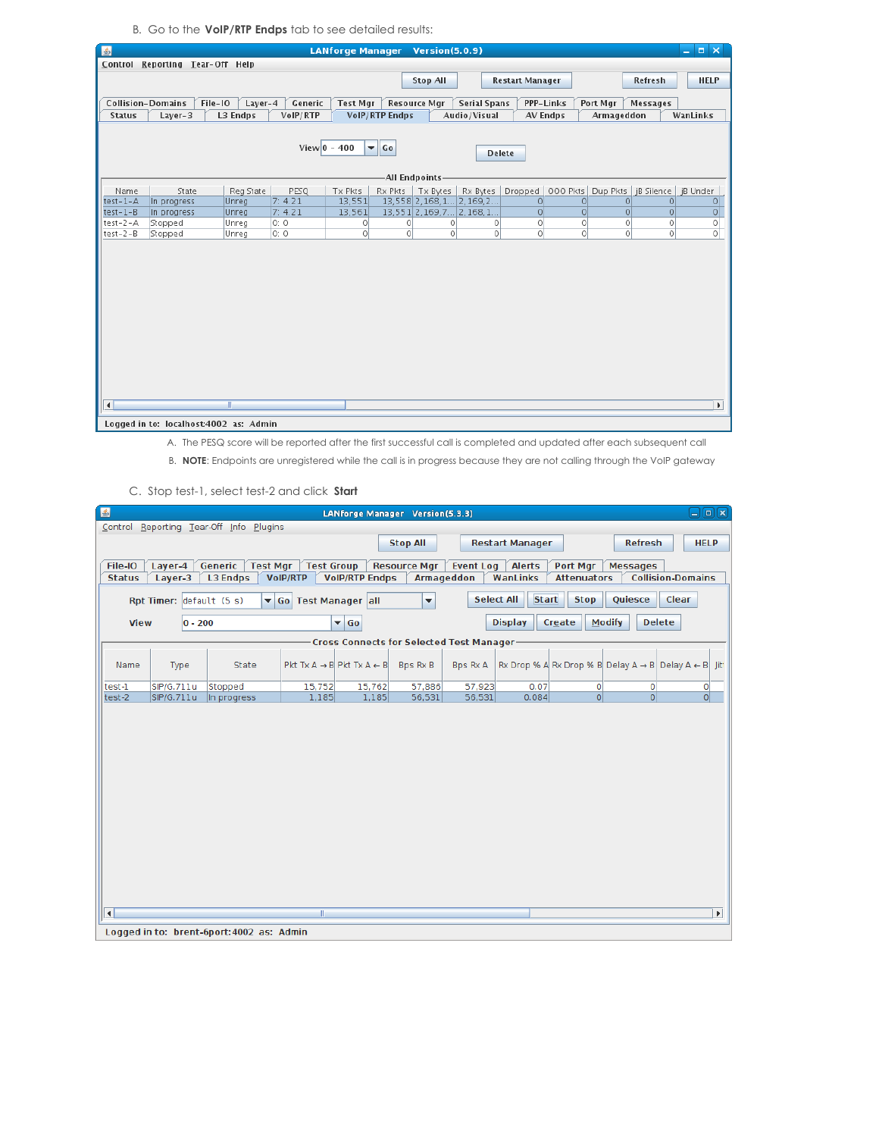B. Go to the **VoIP/RTP Endps** tab to see detailed results:

| 国                |                                        |              |                | <b>LANforge Manager</b> |                            | <b>Version(5.0.9)</b> |                           |                        |          |                                            |                 | $  \times$            |
|------------------|----------------------------------------|--------------|----------------|-------------------------|----------------------------|-----------------------|---------------------------|------------------------|----------|--------------------------------------------|-----------------|-----------------------|
|                  | Control Reporting Tear-Off Help        |              |                |                         |                            |                       |                           |                        |          |                                            |                 |                       |
|                  |                                        |              |                |                         |                            | <b>Stop All</b>       |                           | <b>Restart Manager</b> |          |                                            | Refresh         | <b>HELP</b>           |
|                  |                                        |              |                |                         |                            |                       |                           |                        |          |                                            |                 |                       |
|                  | <b>Collision-Domains</b><br>File-IO    | $Layer-4$    | Generic        | <b>Test Mgr</b>         | <b>Resource Mar</b>        |                       | <b>Serial Spans</b>       | <b>PPP-Links</b>       |          | Port Mgr                                   | <b>Messages</b> |                       |
| <b>Status</b>    | $Layer-3$                              | L3 Endps     | VoIP/RTP       |                         | VolP/RTP Endps             |                       | Audio/Visual              | AV Endps               |          | Armageddon                                 |                 | WanLinks              |
|                  |                                        |              |                |                         |                            |                       |                           |                        |          |                                            |                 |                       |
|                  |                                        |              | View $0 - 400$ |                         | $\blacktriangledown$<br>Go |                       |                           |                        |          |                                            |                 |                       |
|                  |                                        |              |                |                         |                            |                       |                           | <b>Delete</b>          |          |                                            |                 |                       |
|                  |                                        |              |                |                         |                            |                       |                           |                        |          |                                            |                 |                       |
|                  |                                        |              |                |                         | -All Endpoints-            |                       |                           |                        |          |                                            |                 |                       |
| Name             | State                                  | Reg State    | PESQ           | Tx Pkts                 | Rx Pkts   Tx Bytes         |                       | Rx Bytes                  |                        |          | Dropped   000 Pkts   Dup Pkts   jB Silence |                 | jB Under              |
| $test-1-A$       | In progress                            | Unreg        | 7:4.21         | 13,551                  |                            |                       | 13,558 2,168, 1 2, 169, 2 | 0                      | $\Omega$ | $\Omega$                                   | $\Omega$        | $\circ$               |
| $test-1-B$       | In progress                            | Unreg        | 7: 4.21        | 13,561                  |                            |                       | 13,551 2,169,7 2,168,1    | 0                      | $\circ$  | $\overline{0}$                             | $\circ$         | $\circ$               |
| $test-2-A$       | Stopped                                | Unreg        | 0:0            | $\circ$                 | $\circ$                    | 0                     | $\circ$                   | $\circ$                | 0        | 0                                          | $\circ$         | $\circ$               |
| $test - 2 - B$   | Stopped                                | Unreg        | 0:0            | $\circ$                 | $\circ$                    | $\circ$               | $\circ$                   | $\overline{0}$         | $\circ$  | 0                                          | $\circ$         | $\circ$               |
|                  |                                        |              |                |                         |                            |                       |                           |                        |          |                                            |                 |                       |
|                  |                                        |              |                |                         |                            |                       |                           |                        |          |                                            |                 |                       |
|                  |                                        |              |                |                         |                            |                       |                           |                        |          |                                            |                 |                       |
|                  |                                        |              |                |                         |                            |                       |                           |                        |          |                                            |                 |                       |
|                  |                                        |              |                |                         |                            |                       |                           |                        |          |                                            |                 |                       |
|                  |                                        |              |                |                         |                            |                       |                           |                        |          |                                            |                 |                       |
|                  |                                        |              |                |                         |                            |                       |                           |                        |          |                                            |                 |                       |
|                  |                                        |              |                |                         |                            |                       |                           |                        |          |                                            |                 |                       |
|                  |                                        |              |                |                         |                            |                       |                           |                        |          |                                            |                 |                       |
|                  |                                        |              |                |                         |                            |                       |                           |                        |          |                                            |                 |                       |
|                  |                                        |              |                |                         |                            |                       |                           |                        |          |                                            |                 |                       |
|                  |                                        |              |                |                         |                            |                       |                           |                        |          |                                            |                 |                       |
|                  |                                        |              |                |                         |                            |                       |                           |                        |          |                                            |                 |                       |
|                  |                                        |              |                |                         |                            |                       |                           |                        |          |                                            |                 |                       |
| $\left  \right $ |                                        | $\mathbb{I}$ |                |                         |                            |                       |                           |                        |          |                                            |                 | $\blacktriangleright$ |
|                  |                                        |              |                |                         |                            |                       |                           |                        |          |                                            |                 |                       |
|                  | Logged in to: localhost:4002 as: Admin |              |                |                         |                            |                       |                           |                        |          |                                            |                 |                       |

A. The PESQ score will be reported after the first successful call is completed and updated after each subsequent call

B. **NOTE**: Endpoints are unregistered while the call is in progress because they are not calling through the VoIP gateway

C. Stop test-1, select test-2 and click **Start**

| 国                       | $\Box$ e $\bm{x}$<br>LANforge Manager Version(5.3.3)                                                           |                                           |                     |                                                  |                         |                  |                                   |                    |                                                                           |                          |                       |  |  |  |
|-------------------------|----------------------------------------------------------------------------------------------------------------|-------------------------------------------|---------------------|--------------------------------------------------|-------------------------|------------------|-----------------------------------|--------------------|---------------------------------------------------------------------------|--------------------------|-----------------------|--|--|--|
|                         | Control Reporting Tear-Off Info Plugins<br>Refresh<br><b>Stop All</b><br><b>Restart Manager</b><br><b>HELP</b> |                                           |                     |                                                  |                         |                  |                                   |                    |                                                                           |                          |                       |  |  |  |
|                         |                                                                                                                |                                           |                     |                                                  |                         |                  |                                   |                    |                                                                           |                          |                       |  |  |  |
| File-IO                 | Layer-4                                                                                                        | Generic<br><b>Test Mgr</b>                | <b>Test Group</b>   |                                                  | <b>Resource Mgr</b>     | <b>Event Log</b> | <b>Alerts</b>                     | Port Mgr           | <b>Messages</b>                                                           |                          |                       |  |  |  |
| <b>Status</b>           | Layer-3                                                                                                        | <b>L3 Endps</b>                           | <b>VoIP/RTP</b>     | <b>VolP/RTP Endps</b>                            |                         | Armageddon       | WanLinks                          | <b>Attenuators</b> |                                                                           | <b>Collision-Domains</b> |                       |  |  |  |
|                         | Rpt Timer: default (5 s)                                                                                       | ▾                                         | Go Test Manager all |                                                  | $\overline{\mathbf{v}}$ |                  | <b>Start</b><br><b>Select All</b> | <b>Stop</b>        | Quiesce                                                                   | Clear                    |                       |  |  |  |
| <b>View</b>             | $ 0 - 200 $                                                                                                    |                                           |                     | $\blacktriangledown$ Go                          |                         |                  | <b>Display</b>                    | Create             | <b>Modify</b>                                                             | <b>Delete</b>            |                       |  |  |  |
|                         |                                                                                                                |                                           |                     | Cross Connects for Selected Test Manager-        |                         |                  |                                   |                    |                                                                           |                          |                       |  |  |  |
| Name                    | Type                                                                                                           | State                                     |                     | Pkt Tx $A \rightarrow B$ Pkt Tx $A \leftarrow B$ | Bps Rx B                | <b>Bps Rx A</b>  |                                   |                    | Rx Drop % A Rx Drop % B Delay A $\rightarrow$ B Delay A $\leftarrow$ B If |                          |                       |  |  |  |
| test-1                  | SIP/G.711u                                                                                                     | Stopped                                   | 15,752              | 15,762                                           | 57,886                  | 57,923           | 0.07                              | $\circ$            | $\circ$                                                                   | $\circ$                  |                       |  |  |  |
| test-2                  | SIP/G.711u                                                                                                     | In progress                               | 1,185               | 1,185                                            | 56,531                  | 56,531           | 0.084                             | 0                  | 0                                                                         | 0                        |                       |  |  |  |
|                         |                                                                                                                |                                           |                     |                                                  |                         |                  |                                   |                    |                                                                           |                          |                       |  |  |  |
| $\overline{\mathbf{A}}$ |                                                                                                                | Logged in to: brent-6port: 4002 as: Admin | m                   |                                                  |                         |                  |                                   |                    |                                                                           |                          | $\blacktriangleright$ |  |  |  |